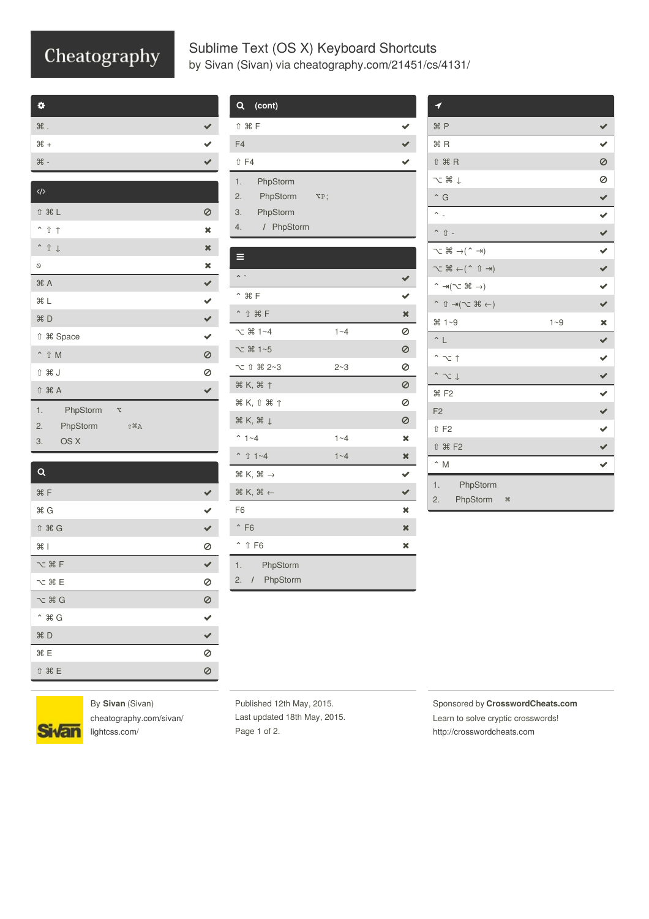## Cheatography

## Sublime Text (OS X) Keyboard Shortcuts by Sivan [\(Sivan\)](http://www.cheatography.com/sivan/) via [cheatography.com/21451/cs/4131/](http://www.cheatography.com/sivan/cheat-sheets/sublime-text-os-x)

| o                 |  |
|-------------------|--|
| $\mathcal H$ .    |  |
| $*$               |  |
| $\mathcal{H}$ -   |  |
|                   |  |
| $\langle \rangle$ |  |

| ↑ 米 L               | Ø                       |
|---------------------|-------------------------|
| $\hat{I}$ $\hat{I}$ | $\pmb{\times}$          |
| $\hat{1}$           | $\mathbf x$             |
| $\circ$             | ×                       |
| #A                  | ✔                       |
| <b>HL</b>           | $\ddot{\bullet}$        |
| 98 D                | $\checkmark$            |
| <b>1 % Space</b>    | $\overline{\mathbf{v}}$ |
| ^ û M               | 0                       |
| û XX J              | 0                       |
| <b>f 米 A</b>        |                         |
| 1.<br>PhpStorm      | χ                       |
| 2.<br>PhpStorm      | ↑ 第A                    |
| 3.<br>OS X          |                         |
|                     |                         |

| $\alpha$                      |         |
|-------------------------------|---------|
| <b>米F</b>                     |         |
| <b>HG</b>                     |         |
| ↑ 米 G                         |         |
| #1                            | 0       |
| $\sim$ $*$ F                  |         |
| $\sim$ $*$ E                  | 0       |
| $\sim$ $*$ G                  | $\circ$ |
| $\hat{a}$ $\hat{a}$ $\hat{b}$ |         |
| <b>第</b> D                    |         |
| %E                            | 0       |
| ↑ 米 E                         |         |

| (cont)<br>Q                               |                         |                              |
|-------------------------------------------|-------------------------|------------------------------|
| û <b>X F</b>                              |                         |                              |
| F <sub>4</sub>                            |                         | $\left\langle \right\rangle$ |
| <b>↑ F4</b>                               |                         |                              |
| 1.<br>PhpStorm                            |                         |                              |
| 2.<br>PhpStorm                            | $\mathbf{v}_\mathrm{P}$ |                              |
| 3.<br>PhpStorm                            |                         |                              |
| 4.<br>/ PhpStorm                          |                         |                              |
|                                           |                         |                              |
|                                           |                         |                              |
|                                           |                         | ✔                            |
| $^{\sim}$ $*$ F                           |                         | ✔                            |
| $\hat{ }$                                 |                         | ×                            |
| $\sim$ 36 1~4                             | $1 - 4$                 | 0                            |
| て 36 1~5                                  |                         | 0                            |
| ℃ ↑ 第 2~3                                 | $2 - 3$                 | 0                            |
| <b><sup>36</sup> K, 36 ↑</b>              |                         | Ø                            |
| <b>HK, 1 HT</b>                           |                         | 0                            |
| $*$ K, $*$ $\downarrow$                   |                         | Ø                            |
| $^{\sim}$ 1 ~4                            | $1 - 4$                 | ×                            |
| $\hat{ }$<br>↑ 1~4                        | $1 - 4$                 | ×                            |
| $\mathbb{R} K$ , $\mathbb{R} \rightarrow$ |                         | ✔                            |
| $\mathbb{R}$ K, $\mathbb{R}$ $\leftarrow$ |                         | ✔                            |
| F6                                        |                         | ×                            |
| $\hat{F}$ F6                              |                         | ×                            |
| $\hat{\phantom{1}}$<br><b>↑ F6</b>        |                         | ×                            |
| 1.<br>PhpStorm                            |                         |                              |
| PhpStorm<br>2.<br>$\prime$                |                         |                              |

| 1                                                                   |         |                       |
|---------------------------------------------------------------------|---------|-----------------------|
| <b>HP</b>                                                           |         | ✔                     |
| #R                                                                  |         | $\checkmark$          |
| <b>↑ 米 R</b>                                                        |         | 0                     |
| $\sim$ $\frac{1}{2}$                                                |         | 0                     |
| $\hat{G}$                                                           |         |                       |
| $\sim$ $\overline{a}$                                               |         |                       |
| $\hat{p}$ $\hat{p}$ -                                               |         |                       |
| $\sim$ $\pi$ $\rightarrow$ $($ $\rightarrow$ $\rightarrow$          |         | 2   3   3   3   3   3 |
| $\sim$ H $\rightarrow$ H $\sim$                                     |         |                       |
| $\hat{}$ $\rightarrow$ $(\sim$ $\frac{1}{2}$ $\rightarrow)$         |         |                       |
| $(\rightarrow \mathbb{R} \supset \mathbb{R} \rightarrow \mathbb{R}$ |         | $\checkmark$          |
| $*1 - 9$                                                            | $1 - 9$ | ×                     |
| $\sim$ L                                                            |         | ✔                     |
| $\hat{z}$                                                           |         |                       |
| $\sim$ $\sim$ $\downarrow$                                          |         |                       |
| <b>H</b> F <sub>2</sub>                                             |         |                       |
| F <sub>2</sub>                                                      |         |                       |
| <b>f</b> F2                                                         |         |                       |
| <b>1 米 F2</b>                                                       |         | 2 2 2 2 2 2           |
| $\hat{~}$ M                                                         |         | $\checkmark$          |
| 1.<br>PhpStorm<br>PhpStorm<br>2.<br>$\mathcal{H}$                   |         |                       |



By **Sivan** (Sivan) [cheatography.com/sivan/](http://www.cheatography.com/sivan/) [lightcss.com/](http://lightcss.com/)

Published 12th May, 2015. Last updated 18th May, 2015. Page 1 of 2.

Sponsored by **CrosswordCheats.com** Learn to solve cryptic crosswords! <http://crosswordcheats.com>